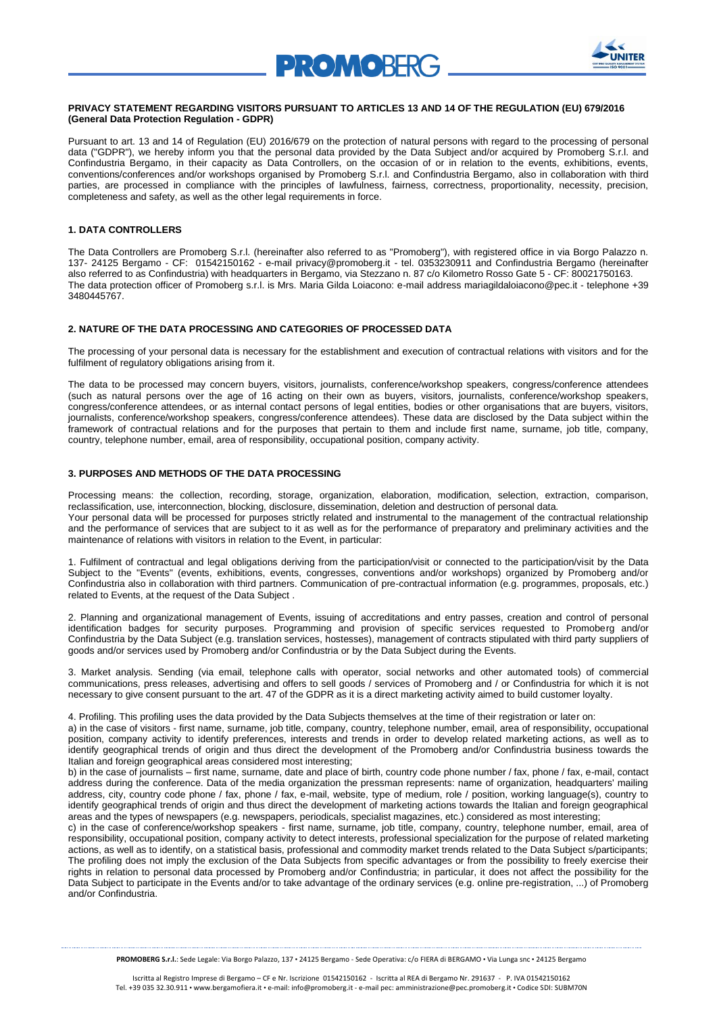



## **PRIVACY STATEMENT REGARDING VISITORS PURSUANT TO ARTICLES 13 AND 14 OF THE REGULATION (EU) 679/2016 (General Data Protection Regulation - GDPR)**

Pursuant to art. 13 and 14 of Regulation (EU) 2016/679 on the protection of natural persons with regard to the processing of personal data ("GDPR"), we hereby inform you that the personal data provided by the Data Subject and/or acquired by Promoberg S.r.l. and Confindustria Bergamo, in their capacity as Data Controllers, on the occasion of or in relation to the events, exhibitions, events, conventions/conferences and/or workshops organised by Promoberg S.r.l. and Confindustria Bergamo, also in collaboration with third parties, are processed in compliance with the principles of lawfulness, fairness, correctness, proportionality, necessity, precision, completeness and safety, as well as the other legal requirements in force.

# **1. DATA CONTROLLERS**

The Data Controllers are Promoberg S.r.l. (hereinafter also referred to as "Promoberg"), with registered office in via Borgo Palazzo n. 137- 24125 Bergamo - CF: 01542150162 - e-mail privacy@promoberg.it - tel. 0353230911 and Confindustria Bergamo (hereinafter also referred to as Confindustria) with headquarters in Bergamo, via Stezzano n. 87 c/o Kilometro Rosso Gate 5 - CF: 80021750163. The data protection officer of Promoberg s.r.l. is Mrs. Maria Gilda Loiacono: e-mail addres[s mariagildaloiacono@pec.it](mailto:mariagildaloiacono@pec.it) - telephone +39 3480445767.

## **2. NATURE OF THE DATA PROCESSING AND CATEGORIES OF PROCESSED DATA**

The processing of your personal data is necessary for the establishment and execution of contractual relations with visitors and for the fulfilment of regulatory obligations arising from it.

The data to be processed may concern buyers, visitors, journalists, conference/workshop speakers, congress/conference attendees (such as natural persons over the age of 16 acting on their own as buyers, visitors, journalists, conference/workshop speakers, congress/conference attendees, or as internal contact persons of legal entities, bodies or other organisations that are buyers, visitors, journalists, conference/workshop speakers, congress/conference attendees). These data are disclosed by the Data subject within the framework of contractual relations and for the purposes that pertain to them and include first name, surname, job title, company, country, telephone number, email, area of responsibility, occupational position, company activity.

## **3. PURPOSES AND METHODS OF THE DATA PROCESSING**

Processing means: the collection, recording, storage, organization, elaboration, modification, selection, extraction, comparison, reclassification, use, interconnection, blocking, disclosure, dissemination, deletion and destruction of personal data.

Your personal data will be processed for purposes strictly related and instrumental to the management of the contractual relationship and the performance of services that are subject to it as well as for the performance of preparatory and preliminary activities and the maintenance of relations with visitors in relation to the Event, in particular:

1. Fulfilment of contractual and legal obligations deriving from the participation/visit or connected to the participation/visit by the Data Subject to the "Events" (events, exhibitions, events, congresses, conventions and/or workshops) organized by Promoberg and/or Confindustria also in collaboration with third partners. Communication of pre-contractual information (e.g. programmes, proposals, etc.) related to Events, at the request of the Data Subject.

2. Planning and organizational management of Events, issuing of accreditations and entry passes, creation and control of personal identification badges for security purposes. Programming and provision of specific services requested to Promoberg and/or Confindustria by the Data Subject (e.g. translation services, hostesses), management of contracts stipulated with third party suppliers of goods and/or services used by Promoberg and/or Confindustria or by the Data Subject during the Events.

3. Market analysis. Sending (via email, telephone calls with operator, social networks and other automated tools) of commercial communications, press releases, advertising and offers to sell goods / services of Promoberg and / or Confindustria for which it is not necessary to give consent pursuant to the art. 47 of the GDPR as it is a direct marketing activity aimed to build customer loyalty.

4. Profiling. This profiling uses the data provided by the Data Subjects themselves at the time of their registration or later on:

a) in the case of visitors - first name, surname, job title, company, country, telephone number, email, area of responsibility, occupational position, company activity to identify preferences, interests and trends in order to develop related marketing actions, as well as to identify geographical trends of origin and thus direct the development of the Promoberg and/or Confindustria business towards the Italian and foreign geographical areas considered most interesting;

b) in the case of journalists – first name, surname, date and place of birth, country code phone number / fax, phone / fax, e-mail, contact address during the conference. Data of the media organization the pressman represents: name of organization, headquarters' mailing address, city, country code phone / fax, phone / fax, e-mail, website, type of medium, role / position, working language(s), country to identify geographical trends of origin and thus direct the development of marketing actions towards the Italian and foreign geographical areas and the types of newspapers (e.g. newspapers, periodicals, specialist magazines, etc.) considered as most interesting;

c) in the case of conference/workshop speakers - first name, surname, job title, company, country, telephone number, email, area of responsibility, occupational position, company activity to detect interests, professional specialization for the purpose of related marketing actions, as well as to identify, on a statistical basis, professional and commodity market trends related to the Data Subject s/participants; The profiling does not imply the exclusion of the Data Subjects from specific advantages or from the possibility to freely exercise their rights in relation to personal data processed by Promoberg and/or Confindustria; in particular, it does not affect the possibility for the Data Subject to participate in the Events and/or to take advantage of the ordinary services (e.g. online pre-registration, ...) of Promoberg and/or Confindustria.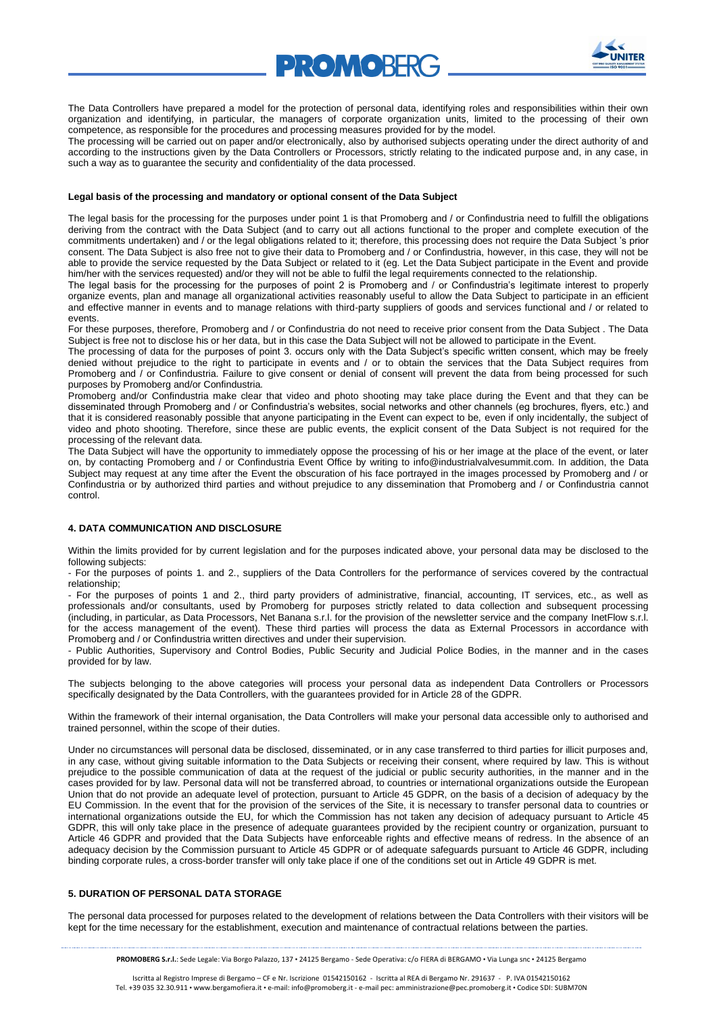

The Data Controllers have prepared a model for the protection of personal data, identifying roles and responsibilities within their own organization and identifying, in particular, the managers of corporate organization units, limited to the processing of their own competence, as responsible for the procedures and processing measures provided for by the model.

**PROMORFR** 

The processing will be carried out on paper and/or electronically, also by authorised subjects operating under the direct authority of and according to the instructions given by the Data Controllers or Processors, strictly relating to the indicated purpose and, in any case, in such a way as to guarantee the security and confidentiality of the data processed.

## **Legal basis of the processing and mandatory or optional consent of the Data Subject**

The legal basis for the processing for the purposes under point 1 is that Promoberg and / or Confindustria need to fulfill the obligations deriving from the contract with the Data Subject (and to carry out all actions functional to the proper and complete execution of the commitments undertaken) and / or the legal obligations related to it; therefore, this processing does not require the Data Subject 's prior consent. The Data Subject is also free not to give their data to Promoberg and / or Confindustria, however, in this case, they will not be able to provide the service requested by the Data Subject or related to it (eg. Let the Data Subject participate in the Event and provide him/her with the services requested) and/or they will not be able to fulfil the legal requirements connected to the relationship.

The legal basis for the processing for the purposes of point 2 is Promoberg and / or Confindustria's legitimate interest to properly organize events, plan and manage all organizational activities reasonably useful to allow the Data Subject to participate in an efficient and effective manner in events and to manage relations with third-party suppliers of goods and services functional and / or related to events.

For these purposes, therefore, Promoberg and / or Confindustria do not need to receive prior consent from the Data Subject . The Data Subject is free not to disclose his or her data, but in this case the Data Subject will not be allowed to participate in the Event.

The processing of data for the purposes of point 3. occurs only with the Data Subject's specific written consent, which may be freely denied without prejudice to the right to participate in events and / or to obtain the services that the Data Subject requires from Promoberg and / or Confindustria. Failure to give consent or denial of consent will prevent the data from being processed for such purposes by Promoberg and/or Confindustria.

Promoberg and/or Confindustria make clear that video and photo shooting may take place during the Event and that they can be disseminated through Promoberg and / or Confindustria's websites, social networks and other channels (eg brochures, flyers, etc.) and that it is considered reasonably possible that anyone participating in the Event can expect to be, even if only incidentally, the subject of video and photo shooting. Therefore, since these are public events, the explicit consent of the Data Subject is not required for the processing of the relevant data.

The Data Subject will have the opportunity to immediately oppose the processing of his or her image at the place of the event, or later on, by contacting Promoberg and / or Confindustria Event Office by writing to info@industrialvalvesummit.com. In addition, the Data Subject may request at any time after the Event the obscuration of his face portrayed in the images processed by Promoberg and / or Confindustria or by authorized third parties and without prejudice to any dissemination that Promoberg and / or Confindustria cannot control.

## **4. DATA COMMUNICATION AND DISCLOSURE**

Within the limits provided for by current legislation and for the purposes indicated above, your personal data may be disclosed to the following subjects:

- For the purposes of points 1. and 2., suppliers of the Data Controllers for the performance of services covered by the contractual relationship;

- For the purposes of points 1 and 2., third party providers of administrative, financial, accounting, IT services, etc., as well as professionals and/or consultants, used by Promoberg for purposes strictly related to data collection and subsequent processing (including, in particular, as Data Processors, Net Banana s.r.l. for the provision of the newsletter service and the company InetFlow s.r.l. for the access management of the event). These third parties will process the data as External Processors in accordance with Promoberg and / or Confindustria written directives and under their supervision.

- Public Authorities, Supervisory and Control Bodies, Public Security and Judicial Police Bodies, in the manner and in the cases provided for by law.

The subjects belonging to the above categories will process your personal data as independent Data Controllers or Processors specifically designated by the Data Controllers, with the guarantees provided for in Article 28 of the GDPR.

Within the framework of their internal organisation, the Data Controllers will make your personal data accessible only to authorised and trained personnel, within the scope of their duties.

Under no circumstances will personal data be disclosed, disseminated, or in any case transferred to third parties for illicit purposes and, in any case, without giving suitable information to the Data Subjects or receiving their consent, where required by law. This is without prejudice to the possible communication of data at the request of the judicial or public security authorities, in the manner and in the cases provided for by law. Personal data will not be transferred abroad, to countries or international organizations outside the European Union that do not provide an adequate level of protection, pursuant to Article 45 GDPR, on the basis of a decision of adequacy by the EU Commission. In the event that for the provision of the services of the Site, it is necessary to transfer personal data to countries or international organizations outside the EU, for which the Commission has not taken any decision of adequacy pursuant to Article 45 GDPR, this will only take place in the presence of adequate guarantees provided by the recipient country or organization, pursuant to Article 46 GDPR and provided that the Data Subjects have enforceable rights and effective means of redress. In the absence of an adequacy decision by the Commission pursuant to Article 45 GDPR or of adequate safeguards pursuant to Article 46 GDPR, including binding corporate rules, a cross-border transfer will only take place if one of the conditions set out in Article 49 GDPR is met.

# **5. DURATION OF PERSONAL DATA STORAGE**

The personal data processed for purposes related to the development of relations between the Data Controllers with their visitors will be kept for the time necessary for the establishment, execution and maintenance of contractual relations between the parties.